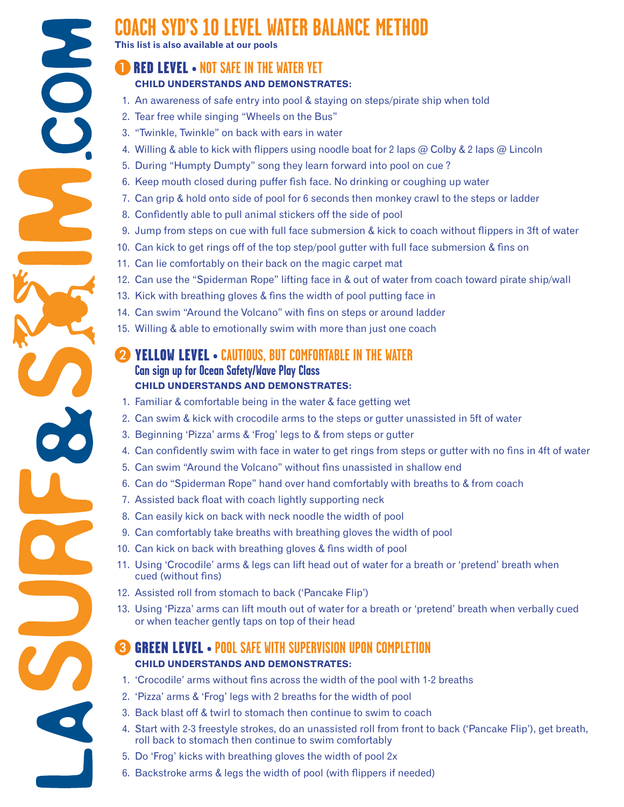# **COACH SYD'S 10 LEVEL WATER BALANCE METHOD**

**This list is also available at our pools**

## ARED LEVEL **• NOT SAFE IN THE WATER YET**

## **CHILD UNDERSTANDS AND DEMONSTRATES:**

- 1. An awareness of safe entry into pool & staying on steps/pirate ship when told
- 2. Tear free while singing "Wheels on the Bus"
- 3. "Twinkle, Twinkle" on back with ears in water
- 4. Willing & able to kick with flippers using noodle boat for 2 laps @ Colby & 2 laps @ Lincoln
- 5. During "Humpty Dumpty" song they learn forward into pool on cue ?
- 6. Keep mouth closed during puffer fish face. No drinking or coughing up water
- 7. Can grip & hold onto side of pool for 6 seconds then monkey crawl to the steps or ladder
- 8. Confidently able to pull animal stickers off the side of pool
- 9. Jump from steps on cue with full face submersion & kick to coach without flippers in 3ft of water
- 10. Can kick to get rings off of the top step/pool gutter with full face submersion & fins on
- 11. Can lie comfortably on their back on the magic carpet mat
- 12. Can use the "Spiderman Rope" lifting face in & out of water from coach toward pirate ship/wall
- 13. Kick with breathing gloves & fins the width of pool putting face in
- 14. Can swim "Around the Volcano" with fins on steps or around ladder
- 15. Willing & able to emotionally swim with more than just one coach

# B YELLOW LEVEL **• CAUTIOUS, BUT COMFORTABLE IN THE WATER Can sign up for Ocean Safety/Wave Play Class CHILD UNDERSTANDS AND DEMONSTRATES:**

- 1. Familiar & comfortable being in the water & face getting wet
- 2. Can swim & kick with crocodile arms to the steps or gutter unassisted in 5ft of water
- 3. Beginning 'Pizza' arms & 'Frog' legs to & from steps or gutter
- 4. Can confidently swim with face in water to get rings from steps or gutter with no fins in 4ft of water
- 5. Can swim "Around the Volcano" without fins unassisted in shallow end
- 6. Can do "Spiderman Rope" hand over hand comfortably with breaths to & from coach
- 7. Assisted back float with coach lightly supporting neck
- 8. Can easily kick on back with neck noodle the width of pool
- 9. Can comfortably take breaths with breathing gloves the width of pool
- 10. Can kick on back with breathing gloves & fins width of pool
- 11. Using 'Crocodile' arms & legs can lift head out of water for a breath or 'pretend' breath when cued (without fins)
- 12. Assisted roll from stomach to back ('Pancake Flip')
- 13. Using 'Pizza' arms can lift mouth out of water for a breath or 'pretend' breath when verbally cued or when teacher gently taps on top of their head

## C GREEN LEVEL **• POOL SAFE WITH SUPERVISION UPON COMPLETION CHILD UNDERSTANDS AND DEMONSTRATES:**

- 1. 'Crocodile' arms without fins across the width of the pool with 1-2 breaths
- 2. 'Pizza' arms & 'Frog' legs with 2 breaths for the width of pool
- 3. Back blast off & twirl to stomach then continue to swim to coach
- 4. Start with 2-3 freestyle strokes, do an unassisted roll from front to back ('Pancake Flip'), get breath, roll back to stomach then continue to swim comfortably
- 5. Do 'Frog' kicks with breathing gloves the width of pool 2x
- 6. Backstroke arms & legs the width of pool (with flippers if needed)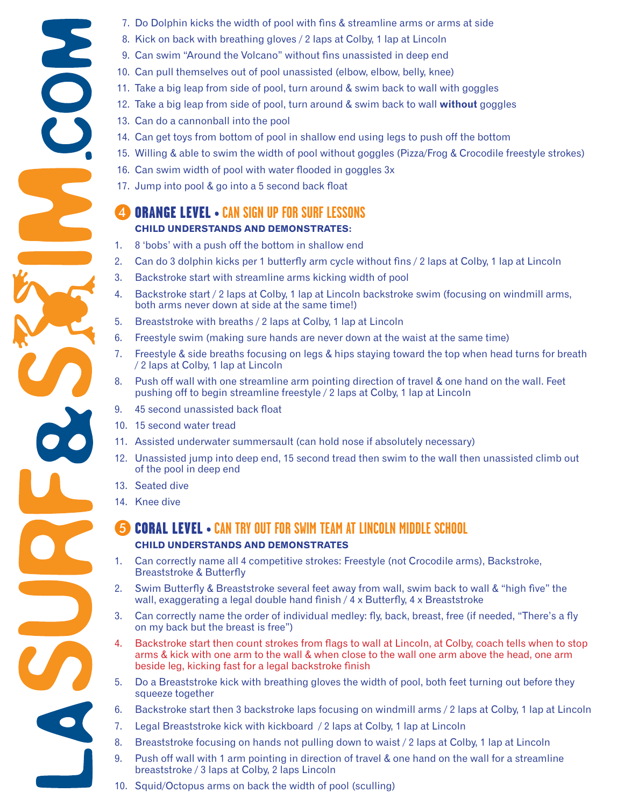- 7. Do Dolphin kicks the width of pool with fins & streamline arms or arms at side
- 8. Kick on back with breathing gloves / 2 laps at Colby, 1 lap at Lincoln
- 9. Can swim "Around the Volcano" without fins unassisted in deep end
- 10. Can pull themselves out of pool unassisted (elbow, elbow, belly, knee)
- 11. Take a big leap from side of pool, turn around & swim back to wall with goggles
- 12. Take a big leap from side of pool, turn around & swim back to wall **without** goggles
- 13. Can do a cannonball into the pool
- 14. Can get toys from bottom of pool in shallow end using legs to push off the bottom
- 15. Willing & able to swim the width of pool without goggles (Pizza/Frog & Crocodile freestyle strokes)
- 16. Can swim width of pool with water flooded in goggles 3x
- 17. Jump into pool & go into a 5 second back float

## D ORANGE LEVEL **• CAN SIGN UP FOR SURF LESSONS CHILD UNDERSTANDS AND DEMONSTRATES:**

- 1. 8 'bobs' with a push off the bottom in shallow end
- 2. Can do 3 dolphin kicks per 1 butterfly arm cycle without fins / 2 laps at Colby, 1 lap at Lincoln
- 3. Backstroke start with streamline arms kicking width of pool
- 4. Backstroke start / 2 laps at Colby, 1 lap at Lincoln backstroke swim (focusing on windmill arms, both arms never down at side at the same time!)
- 5. Breaststroke with breaths / 2 laps at Colby, 1 lap at Lincoln
- 6. Freestyle swim (making sure hands are never down at the waist at the same time)
- 7. Freestyle & side breaths focusing on legs & hips staying toward the top when head turns for breath / 2 laps at Colby, 1 lap at Lincoln
- 8. Push off wall with one streamline arm pointing direction of travel & one hand on the wall. Feet pushing off to begin streamline freestyle / 2 laps at Colby, 1 lap at Lincoln
- 9. 45 second unassisted back float
- 10. 15 second water tread
- 11. Assisted underwater summersault (can hold nose if absolutely necessary)
- 12. Unassisted jump into deep end, 15 second tread then swim to the wall then unassisted climb out of the pool in deep end
- 13. Seated dive
- 14. Knee dive

## E CORAL LEVEL **• CAN TRY OUT FOR SWIM TEAM AT LINCOLN MIDDLE SCHOOL CHILD UNDERSTANDS AND DEMONSTRATES**

- 1. Can correctly name all 4 competitive strokes: Freestyle (not Crocodile arms), Backstroke, Breaststroke & Butterfly
- 2. Swim Butterfly & Breaststroke several feet away from wall, swim back to wall & "high five" the wall, exaggerating a legal double hand finish / 4 x Butterfly, 4 x Breaststroke
- 3. Can correctly name the order of individual medley: fly, back, breast, free (if needed, "There's a fly on my back but the breast is free")
- 4. Backstroke start then count strokes from flags to wall at Lincoln, at Colby, coach tells when to stop arms & kick with one arm to the wall & when close to the wall one arm above the head, one arm beside leg, kicking fast for a legal backstroke finish
- 5. Do a Breaststroke kick with breathing gloves the width of pool, both feet turning out before they squeeze together
- 6. Backstroke start then 3 backstroke laps focusing on windmill arms / 2 laps at Colby, 1 lap at Lincoln
- 7. Legal Breaststroke kick with kickboard / 2 laps at Colby, 1 lap at Lincoln
- 8. Breaststroke focusing on hands not pulling down to waist / 2 laps at Colby, 1 lap at Lincoln
- 9. Push off wall with 1 arm pointing in direction of travel & one hand on the wall for a streamline breaststroke / 3 laps at Colby, 2 laps Lincoln
- 10. Squid/Octopus arms on back the width of pool (sculling)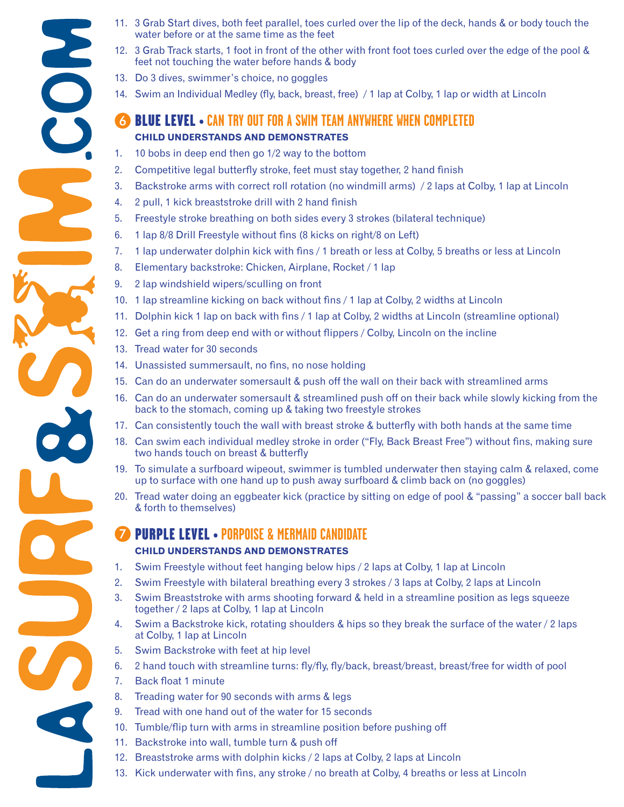- 11. 3 Grab Start dives, both feet parallel, toes curled over the lip of the deck, hands & or body touch the water before or at the same time as the feet
- 12. 3 Grab Track starts, 1 foot in front of the other with front foot toes curled over the edge of the pool & feet not touching the water before hands & body
- 13. Do 3 dives, swimmer's choice, no goggles
- 14. Swim an Individual Medley (fly, back, breast, free) / 1 lap at Colby, 1 lap or width at Lincoln

## **FOR BLUE LEVEL • CAN TRY OUT FOR A SWIM TEAM ANYWHERE WHEN COMPLETED CHILD UNDERSTANDS AND DEMONSTRATES**

- 1. 10 bobs in deep end then go 1/2 way to the bottom
- 2. Competitive legal butterfly stroke, feet must stay together, 2 hand finish
- 3. Backstroke arms with correct roll rotation (no windmill arms) / 2 laps at Colby, 1 lap at Lincoln
- 4. 2 pull, 1 kick breaststroke drill with 2 hand finish
- 5. Freestyle stroke breathing on both sides every 3 strokes (bilateral technique)
- 6. 1 lap 8/8 Drill Freestyle without fins (8 kicks on right/8 on Left)
- 7. 1 lap underwater dolphin kick with fins / 1 breath or less at Colby, 5 breaths or less at Lincoln
- 8. Elementary backstroke: Chicken, Airplane, Rocket / 1 lap
- 9. 2 lap windshield wipers/sculling on front
- 10. 1 lap streamline kicking on back without fins / 1 lap at Colby, 2 widths at Lincoln
- 11. Dolphin kick 1 lap on back with fins / 1 lap at Colby, 2 widths at Lincoln (streamline optional)
- 12. Get a ring from deep end with or without flippers / Colby, Lincoln on the incline
- 13. Tread water for 30 seconds
- 14. Unassisted summersault, no fins, no nose holding
- 15. Can do an underwater somersault & push off the wall on their back with streamlined arms
- 16. Can do an underwater somersault & streamlined push off on their back while slowly kicking from the back to the stomach, coming up & taking two freestyle strokes
- 17. Can consistently touch the wall with breast stroke & butterfly with both hands at the same time
- 18. Can swim each individual medley stroke in order ("Fly, Back Breast Free") without fins, making sure two hands touch on breast & butterfly
- 19. To simulate a surfboard wipeout, swimmer is tumbled underwater then staying calm & relaxed, come up to surface with one hand up to push away surfboard & climb back on (no goggles)
- 20. Tread water doing an eggbeater kick (practice by sitting on edge of pool & "passing" a soccer ball back & forth to themselves)

## G PURPLE LEVEL **• PORPOISE & MERMAID CANDIDATE CHILD UNDERSTANDS AND DEMONSTRATES**

- 1. Swim Freestyle without feet hanging below hips / 2 laps at Colby, 1 lap at Lincoln
- 2. Swim Freestyle with bilateral breathing every 3 strokes / 3 laps at Colby, 2 laps at Lincoln
- 3. Swim Breaststroke with arms shooting forward & held in a streamline position as legs squeeze together / 2 laps at Colby, 1 lap at Lincoln
- 4. Swim a Backstroke kick, rotating shoulders & hips so they break the surface of the water / 2 laps at Colby, 1 lap at Lincoln
- 5. Swim Backstroke with feet at hip level
- 6. 2 hand touch with streamline turns: fly/fly, fly/back, breast/breast, breast/free for width of pool
- 7. Back float 1 minute
- 8. Treading water for 90 seconds with arms & legs
- 9. Tread with one hand out of the water for 15 seconds
- 10. Tumble/flip turn with arms in streamline position before pushing off
- 11. Backstroke into wall, tumble turn & push off
- 12. Breaststroke arms with dolphin kicks / 2 laps at Colby, 2 laps at Lincoln
- 13. Kick underwater with fins, any stroke / no breath at Colby, 4 breaths or less at Lincoln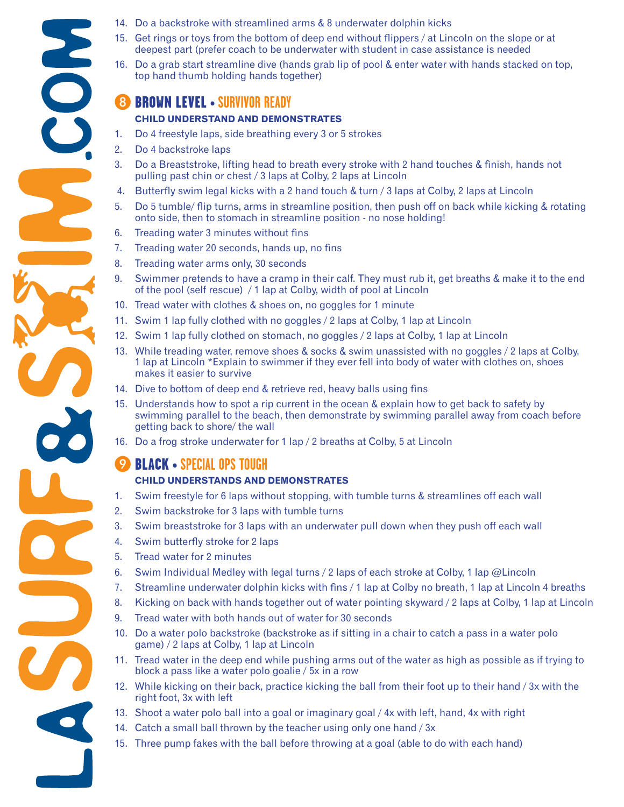- 14. Do a backstroke with streamlined arms & 8 underwater dolphin kicks
- 15. Get rings or toys from the bottom of deep end without flippers / at Lincoln on the slope or at deepest part (prefer coach to be underwater with student in case assistance is needed
- 16. Do a grab start streamline dive (hands grab lip of pool & enter water with hands stacked on top, top hand thumb holding hands together)

## H BROWN LEVEL **• SURVIVOR READY**

#### **CHILD UNDERSTAND AND DEMONSTRATES**

- 1. Do 4 freestyle laps, side breathing every 3 or 5 strokes
- 2. Do 4 backstroke laps
- 3. Do a Breaststroke, lifting head to breath every stroke with 2 hand touches & finish, hands not pulling past chin or chest / 3 laps at Colby, 2 laps at Lincoln
- 4. Butterfly swim legal kicks with a 2 hand touch & turn / 3 laps at Colby, 2 laps at Lincoln
- 5. Do 5 tumble/ flip turns, arms in streamline position, then push off on back while kicking & rotating onto side, then to stomach in streamline position - no nose holding!
- 6. Treading water 3 minutes without fins
- 7. Treading water 20 seconds, hands up, no fins
- 8. Treading water arms only, 30 seconds
- 9. Swimmer pretends to have a cramp in their calf. They must rub it, get breaths & make it to the end of the pool (self rescue) / 1 lap at Colby, width of pool at Lincoln
- 10. Tread water with clothes & shoes on, no goggles for 1 minute
- 11. Swim 1 lap fully clothed with no goggles / 2 laps at Colby, 1 lap at Lincoln
- 12. Swim 1 lap fully clothed on stomach, no goggles / 2 laps at Colby, 1 lap at Lincoln
- 13. While treading water, remove shoes & socks & swim unassisted with no goggles / 2 laps at Colby, 1 lap at Lincoln \*Explain to swimmer if they ever fell into body of water with clothes on, shoes makes it easier to survive
- 14. Dive to bottom of deep end & retrieve red, heavy balls using fins
- 15. Understands how to spot a rip current in the ocean & explain how to get back to safety by swimming parallel to the beach, then demonstrate by swimming parallel away from coach before getting back to shore/ the wall
- 16. Do a frog stroke underwater for 1 lap / 2 breaths at Colby, 5 at Lincoln

# **9 BLACK • SPECIAL OPS TOUGH**

#### **CHILD UNDERSTANDS AND DEMONSTRATES**

- 1. Swim freestyle for 6 laps without stopping, with tumble turns & streamlines off each wall
- 2. Swim backstroke for 3 laps with tumble turns
- 3. Swim breaststroke for 3 laps with an underwater pull down when they push off each wall
- 4. Swim butterfly stroke for 2 laps
- 5. Tread water for 2 minutes
- 6. Swim Individual Medley with legal turns / 2 laps of each stroke at Colby, 1 lap @Lincoln
- 7. Streamline underwater dolphin kicks with fins / 1 lap at Colby no breath, 1 lap at Lincoln 4 breaths
- 8. Kicking on back with hands together out of water pointing skyward / 2 laps at Colby, 1 lap at Lincoln
- 9. Tread water with both hands out of water for 30 seconds
- 10. Do a water polo backstroke (backstroke as if sitting in a chair to catch a pass in a water polo game) / 2 laps at Colby, 1 lap at Lincoln
- 11. Tread water in the deep end while pushing arms out of the water as high as possible as if trying to block a pass like a water polo goalie / 5x in a row
- 12. While kicking on their back, practice kicking the ball from their foot up to their hand / 3x with the right foot, 3x with left
- 13. Shoot a water polo ball into a goal or imaginary goal / 4x with left, hand, 4x with right
- 14. Catch a small ball thrown by the teacher using only one hand / 3x
- 15. Three pump fakes with the ball before throwing at a goal (able to do with each hand)